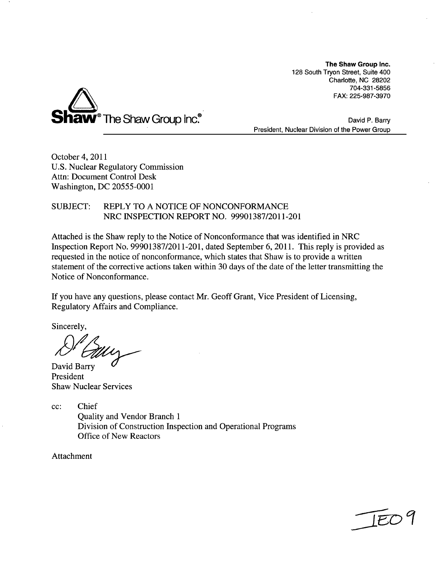The Shaw Group Inc. **128** South Tryon Street, Suite 400 Charlotte, **NC 28202 704-331-5856** FAX: **225-987-3970**



David P. Barry President, Nuclear Division of the Power Group

October 4, 2011 **U.S.** Nuclear Regulatory Commission Attn: Document Control Desk Washington, **DC 20555-0001**

**SUBJECT:** REPLY TO **A NOTICE** OF **NONCONFORMANCE** NRC **INSPECTION** REPORT **NO. 99901387/2011-201**

Attached is the Shaw reply to the Notice of Nonconformance that was identified in NRC Inspection Report No. **99901387/2011-201,** dated September **6, 2011.** This reply is provided as requested in the notice of nonconformance, which states that Shaw is to provide a written statement of the corrective actions taken within **30** days of the date of the letter transmitting the Notice of Nonconformance.

If you have any questions, please contact Mr. Geoff Grant, Vice President of Licensing, Regulatory Affairs and Compliance.

Sincerely,

David Barry President Shaw Nuclear Services

**cc:** Chief Quality and Vendor Branch **1** Division of Construction Inspection and Operational Programs Office of New Reactors

Attachment

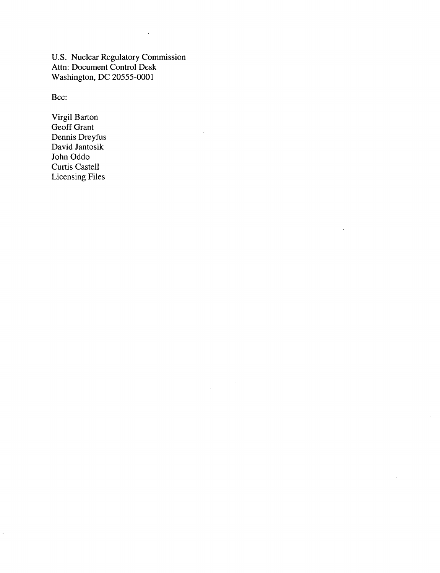U.S. Nuclear Regulatory Commission Attn: Document Control Desk Washington, DC 20555-0001

 $\sim$ 

 $\bar{\beta}$ 

Bcc:

 $\frac{1}{2}$ 

Virgil Barton Geoff Grant Dennis Dreyfus David Jantosik John Oddo Curtis Castell Licensing Files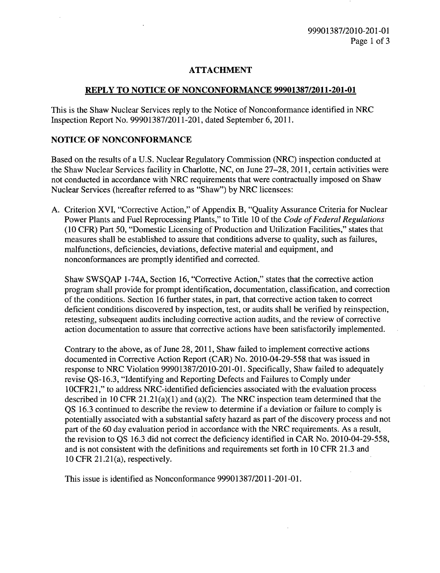## **ATTACHMENT**

#### REPLY TO **NOTICE** OF **NONCONFORMANCE 99901387/2011-201-01**

This is the Shaw Nuclear Services reply to the Notice of Nonconformance identified in NRC Inspection Report No. 99901387/2011-201, dated September 6, 2011.

### **NOTICE** OF **NONCONFORMANCE**

Based on the results of a U.S. Nuclear Regulatory Commission (NRC) inspection conducted at the Shaw Nuclear Services facility in Charlotte, NC, on June 27-28, 2011, certain activities were not conducted in accordance with NRC requirements that were contractually imposed on Shaw Nuclear Services (hereafter referred to as "Shaw") by NRC licensees:

A. Criterion XVI, "Corrective Action," of Appendix B, "Quality Assurance Criteria for Nuclear Power Plants and Fuel Reprocessing Plants," to Title 10 of the *Code of Federal Regulations* (10 CFR) Part 50, "Domestic Licensing of Production and Utilization Facilities," states that measures shall be established to assure that conditions adverse to quality, such as failures, malfunctions, deficiencies, deviations, defective material and equipment, and nonconformances are promptly identified and corrected.

Shaw SWSQAP 1-74A, Section 16, "Corrective Action," states that the corrective action program shall provide for prompt identification, documentation, classification, and correction of the conditions. Section 16 further states, in part, that corrective action taken to correct deficient conditions discovered by inspection, test, or audits shall be verified by reinspection, retesting, subsequent audits including corrective action audits, and the review of corrective action documentation to assure that corrective actions have been satisfactorily implemented.

Contrary to the above, as of June 28, 2011, Shaw failed to implement corrective actions documented in Corrective Action Report (CAR) No. 2010-04-29-558 that was issued in response to NRC Violation 99901387/2010-201-01. Specifically, Shaw failed to adequately revise QS-16.3, "Identifying and Reporting Defects and Failures to Comply under 10CFR21," to address NRC-identified deficiencies associated with the evaluation process described in 10 CFR 21.21(a)(1) and (a)(2). The NRC inspection team determined that the QS 16.3 continued to describe the review to determine if a deviation or failure to comply is potentially associated with a substantial safety hazard as part of the discovery process and not part of the 60 day evaluation period in accordance with the NRC requirements. As a result, the revision to QS 16.3 did not correct the deficiency identified in CAR No. 2010-04-29-558, and is not consistent with the definitions and requirements set forth in 10 CFR 21.3 and 10 CFR 21.21(a), respectively.

This issue is identified as Nonconformance 99901387/2011-201-01.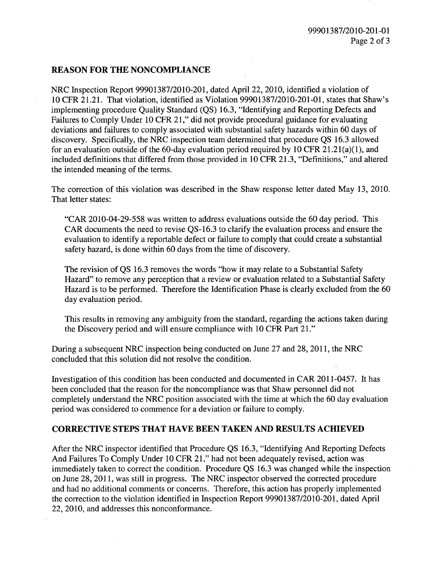## **REASON** FOR THE **NONCOMPLIANCE**

NRC Inspection Report 99901387/2010-201, dated April 22, 2010, identified a violation of 10 CFR 21.21. That violation, identified as Violation 99901387/2010-201-01, states that Shaw's implementing procedure Quality Standard (QS) 16.3, "Identifying and Reporting Defects and Failures to Comply Under 10 CFR 21," did not provide procedural guidance for evaluating deviations and failures to comply associated with substantial safety hazards within 60 days of discovery. Specifically, the NRC inspection team determined that procedure QS 16.3 allowed for an evaluation outside of the 60-day evaluation period required by 10 CFR 21.21(a)(1), and included definitions that differed from those provided in 10 CFR 21.3, "Definitions," and altered the intended meaning of the terms.

The correction of this violation was described in the Shaw response letter dated May 13, 2010. That letter states:

"CAR 2010-04-29-558 was written to address evaluations outside the 60 day period. This CAR documents the need to revise QS-16.3 to clarify the evaluation process and ensure the evaluation to identify a reportable defect or failure to comply that could create a substantial safety hazard, is done within 60 days from the time of discovery.

The revision of QS 16.3 removes the words "how it may relate to a Substantial Safety Hazard" to remove any perception that a review or evaluation related to a Substantial Safety Hazard is to be performed. Therefore the Identification Phase is clearly excluded from the 60 day evaluation period.

This results in removing any ambiguity from the standard, regarding the actions taken during the Discovery period and will ensure compliance with 10 CFR Part 21."

During a subsequent NRC inspection being conducted on June 27 and 28, 2011, the NRC concluded that this solution did not resolve the condition.

Investigation of this condition has been conducted and documented in CAR 2011-0457. It has been concluded that the reason for the noncompliance was that Shaw personnel did not completely understand the NRC position associated with the time at which the 60 day evaluation period was considered to commence for a deviation or failure to comply.

#### CORRECTIVE **STEPS** THAT **HAVE** BEEN **TAKEN AND RESULTS ACHIEVED**

After the NRC inspector identified that Procedure QS 16.3, "Identifying And Reporting Defects And Failures To Comply Under 10 CFR 21," had not been adequately revised, action was immediately taken to correct the condition. Procedure QS 16.3 was changed while the inspection on June 28, 2011, was still in progress. The NRC inspector observed the corrected procedure and had no additional comments or concerns. Therefore, this action has properly implemented the correction to the violation identified in Inspection Report 99901387/2010-201, dated April 22, 2010, and addresses this nonconformance.